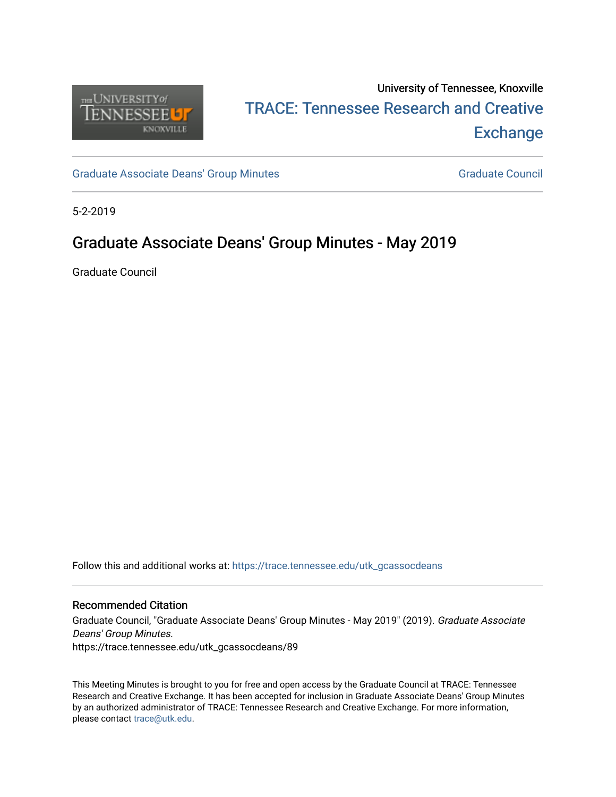

# University of Tennessee, Knoxville TRACE: T[ennessee Research and Cr](https://trace.tennessee.edu/)eative **Exchange**

[Graduate Associate Deans' Group Minutes](https://trace.tennessee.edu/utk_gcassocdeans) [Graduate Council](https://trace.tennessee.edu/utk_gradcouncil) Graduate Council

5-2-2019

## Graduate Associate Deans' Group Minutes - May 2019

Graduate Council

Follow this and additional works at: [https://trace.tennessee.edu/utk\\_gcassocdeans](https://trace.tennessee.edu/utk_gcassocdeans?utm_source=trace.tennessee.edu%2Futk_gcassocdeans%2F89&utm_medium=PDF&utm_campaign=PDFCoverPages)

#### Recommended Citation

Graduate Council, "Graduate Associate Deans' Group Minutes - May 2019" (2019). Graduate Associate Deans' Group Minutes. https://trace.tennessee.edu/utk\_gcassocdeans/89

This Meeting Minutes is brought to you for free and open access by the Graduate Council at TRACE: Tennessee Research and Creative Exchange. It has been accepted for inclusion in Graduate Associate Deans' Group Minutes by an authorized administrator of TRACE: Tennessee Research and Creative Exchange. For more information, please contact [trace@utk.edu.](mailto:trace@utk.edu)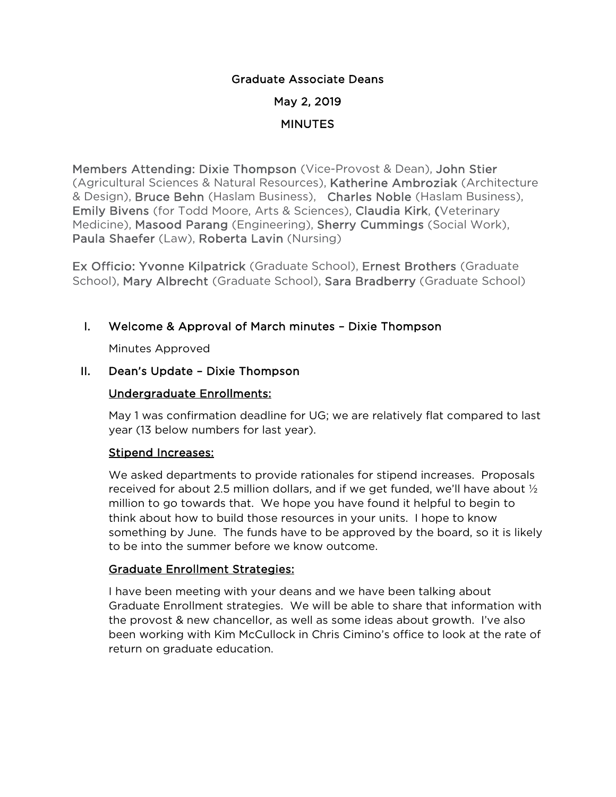## Graduate Associate Deans May 2, 2019 MINUTES

Members Attending: Dixie Thompson (Vice-Provost & Dean), John Stier (Agricultural Sciences & Natural Resources), Katherine Ambroziak (Architecture & Design), Bruce Behn (Haslam Business), Charles Noble (Haslam Business), Emily Bivens (for Todd Moore, Arts & Sciences), Claudia Kirk, (Veterinary Medicine), Masood Parang (Engineering), Sherry Cummings (Social Work), Paula Shaefer (Law), Roberta Lavin (Nursing)

Ex Officio: Yvonne Kilpatrick (Graduate School), Ernest Brothers (Graduate School), Mary Albrecht (Graduate School), Sara Bradberry (Graduate School)

## I. Welcome & Approval of March minutes – Dixie Thompson

Minutes Approved

## II. Dean's Update – Dixie Thompson

## Undergraduate Enrollments:

May 1 was confirmation deadline for UG; we are relatively flat compared to last year (13 below numbers for last year).

### Stipend Increases:

We asked departments to provide rationales for stipend increases. Proposals received for about 2.5 million dollars, and if we get funded, we'll have about  $\frac{1}{2}$ million to go towards that. We hope you have found it helpful to begin to think about how to build those resources in your units. I hope to know something by June. The funds have to be approved by the board, so it is likely to be into the summer before we know outcome.

## Graduate Enrollment Strategies:

I have been meeting with your deans and we have been talking about Graduate Enrollment strategies. We will be able to share that information with the provost & new chancellor, as well as some ideas about growth. I've also been working with Kim McCullock in Chris Cimino's office to look at the rate of return on graduate education.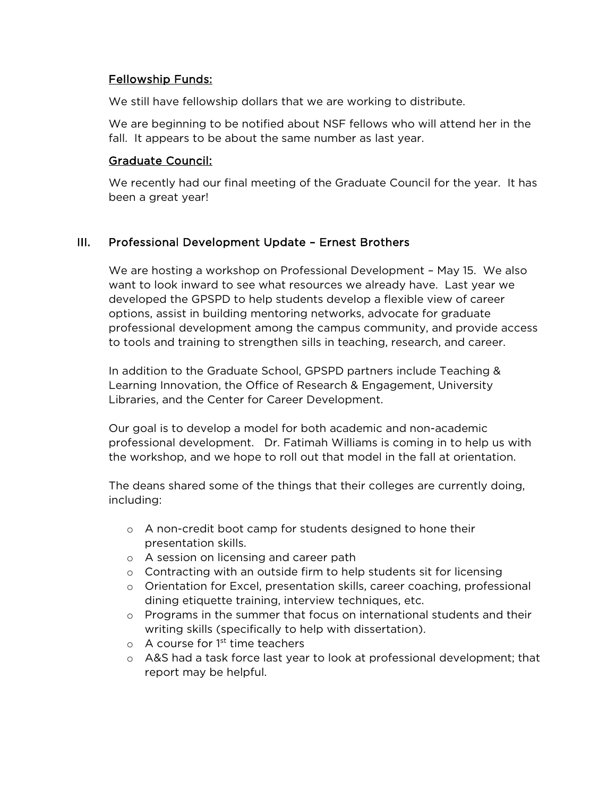#### Fellowship Funds:

We still have fellowship dollars that we are working to distribute.

We are beginning to be notified about NSF fellows who will attend her in the fall. It appears to be about the same number as last year.

#### Graduate Council:

We recently had our final meeting of the Graduate Council for the year. It has been a great year!

### III. Professional Development Update – Ernest Brothers

We are hosting a workshop on Professional Development – May 15. We also want to look inward to see what resources we already have. Last year we developed the GPSPD to help students develop a flexible view of career options, assist in building mentoring networks, advocate for graduate professional development among the campus community, and provide access to tools and training to strengthen sills in teaching, research, and career.

In addition to the Graduate School, GPSPD partners include Teaching & Learning Innovation, the Office of Research & Engagement, University Libraries, and the Center for Career Development.

Our goal is to develop a model for both academic and non-academic professional development. Dr. Fatimah Williams is coming in to help us with the workshop, and we hope to roll out that model in the fall at orientation.

The deans shared some of the things that their colleges are currently doing, including:

- o A non-credit boot camp for students designed to hone their presentation skills.
- o A session on licensing and career path
- o Contracting with an outside firm to help students sit for licensing
- o Orientation for Excel, presentation skills, career coaching, professional dining etiquette training, interview techniques, etc.
- $\circ$  Programs in the summer that focus on international students and their writing skills (specifically to help with dissertation).
- $\circ$  A course for 1<sup>st</sup> time teachers
- o A&S had a task force last year to look at professional development; that report may be helpful.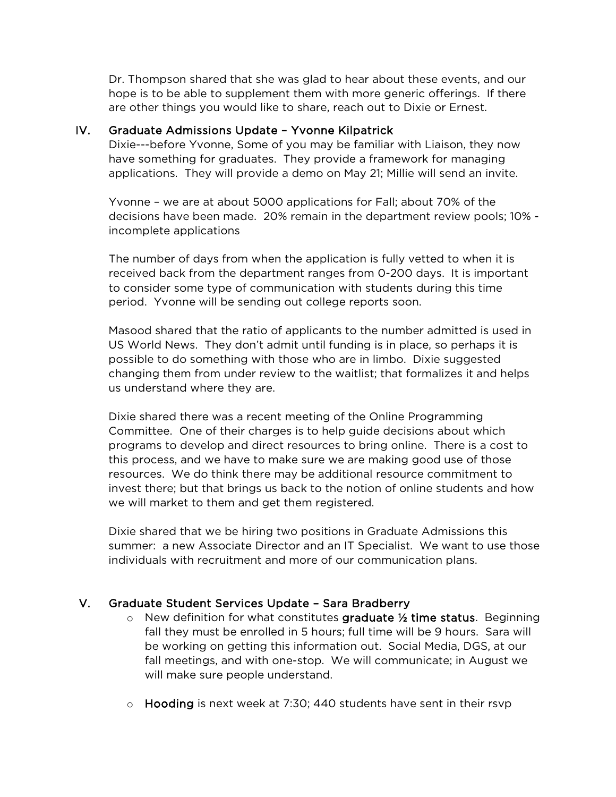Dr. Thompson shared that she was glad to hear about these events, and our hope is to be able to supplement them with more generic offerings. If there are other things you would like to share, reach out to Dixie or Ernest.

#### IV. Graduate Admissions Update – Yvonne Kilpatrick

Dixie---before Yvonne, Some of you may be familiar with Liaison, they now have something for graduates. They provide a framework for managing applications. They will provide a demo on May 21; Millie will send an invite.

Yvonne – we are at about 5000 applications for Fall; about 70% of the decisions have been made. 20% remain in the department review pools; 10% incomplete applications

The number of days from when the application is fully vetted to when it is received back from the department ranges from 0-200 days. It is important to consider some type of communication with students during this time period. Yvonne will be sending out college reports soon.

Masood shared that the ratio of applicants to the number admitted is used in US World News. They don't admit until funding is in place, so perhaps it is possible to do something with those who are in limbo. Dixie suggested changing them from under review to the waitlist; that formalizes it and helps us understand where they are.

Dixie shared there was a recent meeting of the Online Programming Committee. One of their charges is to help guide decisions about which programs to develop and direct resources to bring online. There is a cost to this process, and we have to make sure we are making good use of those resources. We do think there may be additional resource commitment to invest there; but that brings us back to the notion of online students and how we will market to them and get them registered.

Dixie shared that we be hiring two positions in Graduate Admissions this summer: a new Associate Director and an IT Specialist. We want to use those individuals with recruitment and more of our communication plans.

### V. Graduate Student Services Update – Sara Bradberry

- $\circ$  New definition for what constitutes graduate  $\frac{1}{2}$  time status. Beginning fall they must be enrolled in 5 hours; full time will be 9 hours. Sara will be working on getting this information out. Social Media, DGS, at our fall meetings, and with one-stop. We will communicate; in August we will make sure people understand.
- $\circ$  Hooding is next week at 7:30; 440 students have sent in their rsvp